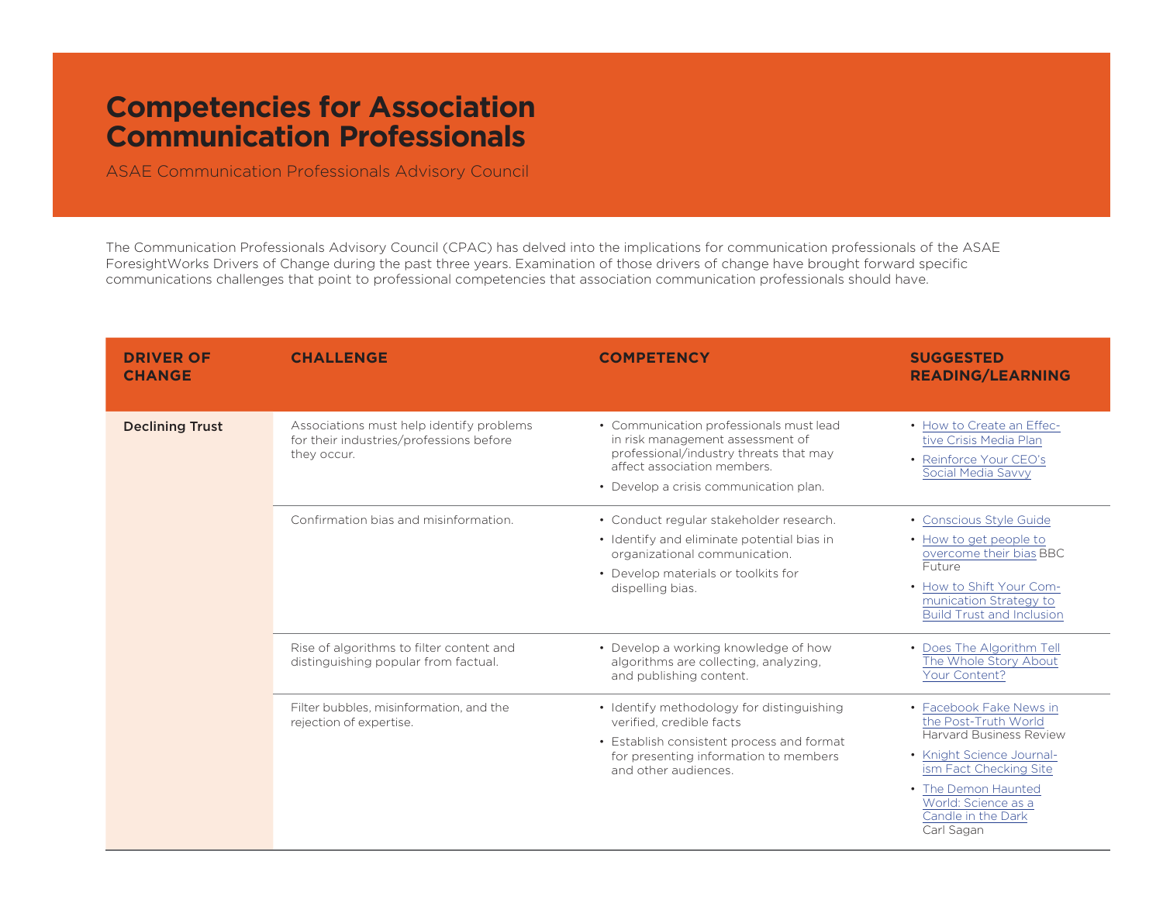## **Competencies for Association Communication Professionals**

ASAE Communication Professionals Advisory Council

The Communication Professionals Advisory Council (CPAC) has delved into the implications for communication professionals of the ASAE ForesightWorks Drivers of Change during the past three years. Examination of those drivers of change have brought forward specific communications challenges that point to professional competencies that association communication professionals should have.

| <b>DRIVER OF</b><br><b>CHANGE</b> | <b>CHALLENGE</b>                                                                                   | <b>COMPETENCY</b>                                                                                                                                                                              | <b>SUGGESTED</b><br><b>READING/LEARNING</b>                                                                                                                                                                                |
|-----------------------------------|----------------------------------------------------------------------------------------------------|------------------------------------------------------------------------------------------------------------------------------------------------------------------------------------------------|----------------------------------------------------------------------------------------------------------------------------------------------------------------------------------------------------------------------------|
| <b>Declining Trust</b>            | Associations must help identify problems<br>for their industries/professions before<br>they occur. | • Communication professionals must lead<br>in risk management assessment of<br>professional/industry threats that may<br>affect association members.<br>• Develop a crisis communication plan. | • How to Create an Effec-<br>tive Crisis Media Plan<br>• Reinforce Your CEO's<br>Social Media Savvy                                                                                                                        |
|                                   | Confirmation bias and misinformation                                                               | • Conduct regular stakeholder research.<br>• Identify and eliminate potential bias in<br>organizational communication.<br>• Develop materials or toolkits for<br>dispelling bias.              | • Conscious Style Guide<br>• How to get people to<br>overcome their bias BBC<br>Future<br>• How to Shift Your Com-<br>munication Strategy to<br><b>Build Trust and Inclusion</b>                                           |
|                                   | Rise of algorithms to filter content and<br>distinguishing popular from factual.                   | • Develop a working knowledge of how<br>algorithms are collecting, analyzing,<br>and publishing content.                                                                                       | • Does The Algorithm Tell<br>The Whole Story About<br>Your Content?                                                                                                                                                        |
|                                   | Filter bubbles, misinformation, and the<br>rejection of expertise.                                 | • Identify methodology for distinguishing<br>verified, credible facts<br>• Establish consistent process and format<br>for presenting information to members<br>and other audiences.            | • Facebook Fake News in<br>the Post-Truth World<br><b>Harvard Business Review</b><br>• Knight Science Journal-<br>ism Fact Checking Site<br>• The Demon Haunted<br>World: Science as a<br>Candle in the Dark<br>Carl Sagan |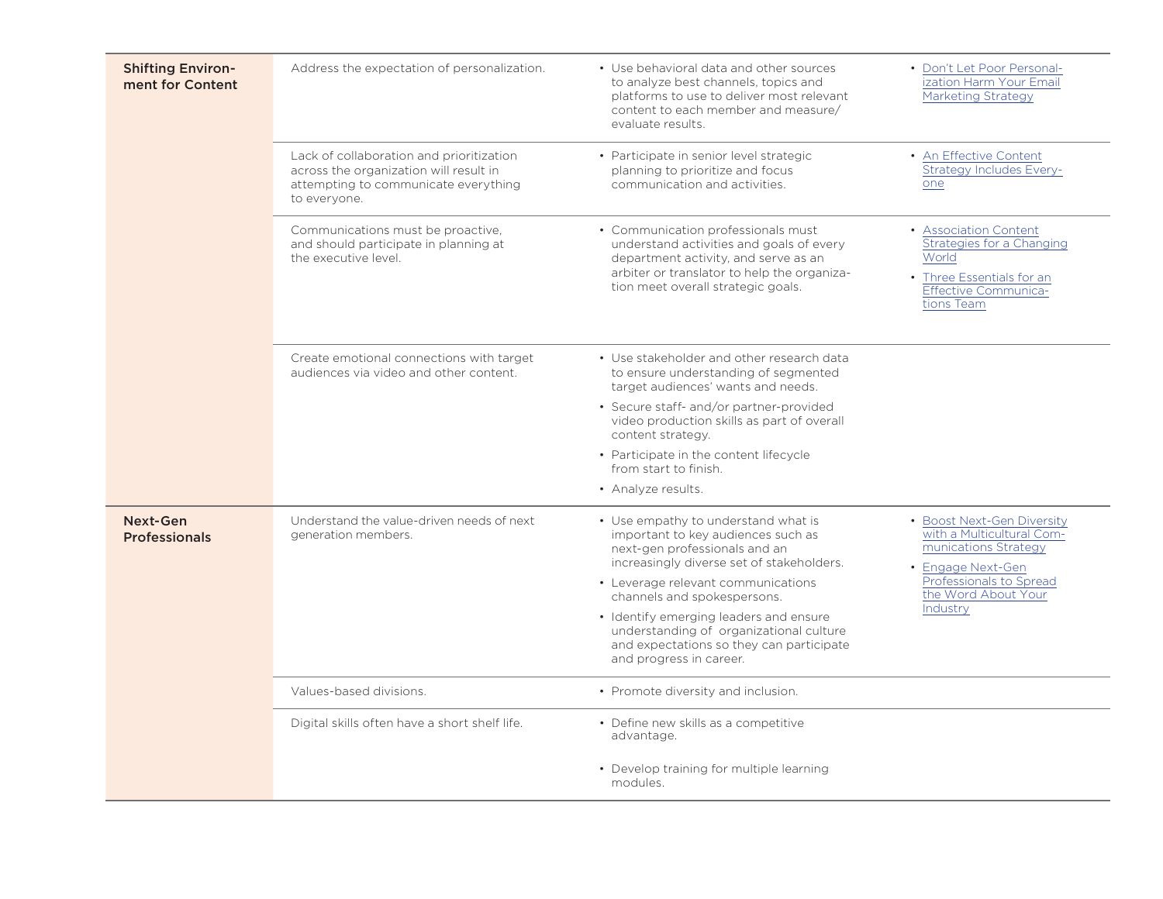| <b>Shifting Environ-</b><br>ment for Content | Address the expectation of personalization.                                                                                                | • Use behavioral data and other sources<br>to analyze best channels, topics and<br>platforms to use to deliver most relevant<br>content to each member and measure/<br>evaluate results.                    | • Don't Let Poor Personal-<br>ization Harm Your Email<br>Marketing Strategy                                                                                        |
|----------------------------------------------|--------------------------------------------------------------------------------------------------------------------------------------------|-------------------------------------------------------------------------------------------------------------------------------------------------------------------------------------------------------------|--------------------------------------------------------------------------------------------------------------------------------------------------------------------|
|                                              | Lack of collaboration and prioritization<br>across the organization will result in<br>attempting to communicate everything<br>to everyone. | • Participate in senior level strategic<br>planning to prioritize and focus<br>communication and activities.                                                                                                | • An Effective Content<br>Strategy Includes Every-<br>one                                                                                                          |
|                                              | Communications must be proactive.<br>and should participate in planning at<br>the executive level.                                         | • Communication professionals must<br>understand activities and goals of every<br>department activity, and serve as an<br>arbiter or translator to help the organiza-<br>tion meet overall strategic goals. | • Association Content<br>Strategies for a Changing<br>World<br>• Three Essentials for an<br><b>Effective Communica-</b><br>tions Team                              |
|                                              | Create emotional connections with target<br>audiences via video and other content.                                                         | • Use stakeholder and other research data<br>to ensure understanding of segmented<br>target audiences' wants and needs.                                                                                     |                                                                                                                                                                    |
|                                              |                                                                                                                                            | • Secure staff- and/or partner-provided<br>video production skills as part of overall<br>content strategy.                                                                                                  |                                                                                                                                                                    |
|                                              |                                                                                                                                            | • Participate in the content lifecycle<br>from start to finish.                                                                                                                                             |                                                                                                                                                                    |
|                                              |                                                                                                                                            | • Analyze results.                                                                                                                                                                                          |                                                                                                                                                                    |
| Next-Gen<br><b>Professionals</b>             | Understand the value-driven needs of next<br>generation members.                                                                           | • Use empathy to understand what is<br>important to key audiences such as<br>next-gen professionals and an<br>increasingly diverse set of stakeholders.                                                     | • Boost Next-Gen Diversity<br>with a Multicultural Com-<br>munications Strategy<br>• Engage Next-Gen<br>Professionals to Spread<br>the Word About Your<br>Industry |
|                                              |                                                                                                                                            | • Leverage relevant communications<br>channels and spokespersons.                                                                                                                                           |                                                                                                                                                                    |
|                                              |                                                                                                                                            | • Identify emerging leaders and ensure<br>understanding of organizational culture<br>and expectations so they can participate<br>and progress in career.                                                    |                                                                                                                                                                    |
|                                              | Values-based divisions.                                                                                                                    | • Promote diversity and inclusion.                                                                                                                                                                          |                                                                                                                                                                    |
|                                              | Digital skills often have a short shelf life.                                                                                              | • Define new skills as a competitive<br>advantage.                                                                                                                                                          |                                                                                                                                                                    |
|                                              |                                                                                                                                            | • Develop training for multiple learning<br>modules.                                                                                                                                                        |                                                                                                                                                                    |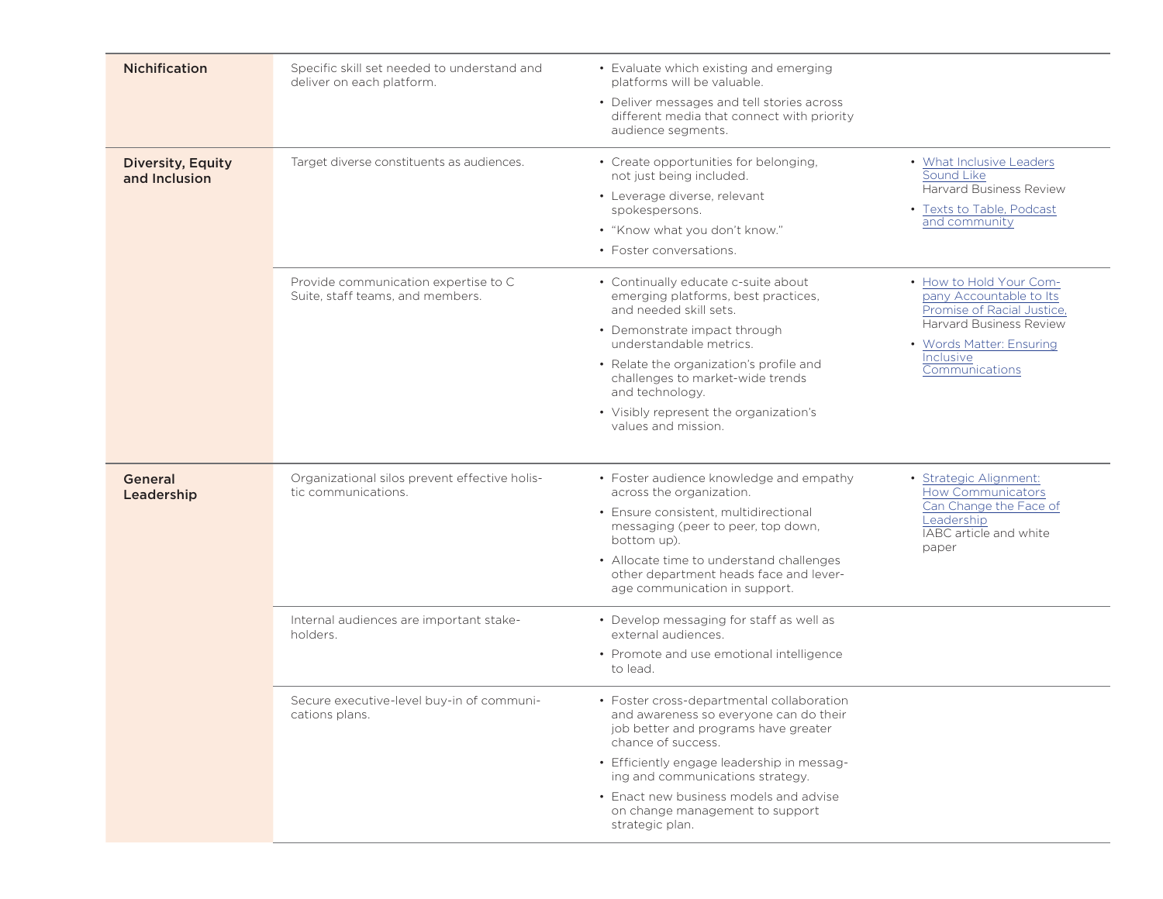| Nichification                             | Specific skill set needed to understand and<br>deliver on each platform.                                              | • Evaluate which existing and emerging<br>platforms will be valuable.                                                                                                                                                                                                                                                                                                                                                                                                                                                 |                                                                                                                                                                                                                                                                                                  |
|-------------------------------------------|-----------------------------------------------------------------------------------------------------------------------|-----------------------------------------------------------------------------------------------------------------------------------------------------------------------------------------------------------------------------------------------------------------------------------------------------------------------------------------------------------------------------------------------------------------------------------------------------------------------------------------------------------------------|--------------------------------------------------------------------------------------------------------------------------------------------------------------------------------------------------------------------------------------------------------------------------------------------------|
|                                           |                                                                                                                       | • Deliver messages and tell stories across<br>different media that connect with priority<br>audience segments.                                                                                                                                                                                                                                                                                                                                                                                                        |                                                                                                                                                                                                                                                                                                  |
| <b>Diversity, Equity</b><br>and Inclusion | Target diverse constituents as audiences.<br>Provide communication expertise to C<br>Suite, staff teams, and members. | • Create opportunities for belonging.<br>not just being included.<br>• Leverage diverse, relevant<br>spokespersons.<br>• "Know what you don't know."<br>• Foster conversations.<br>• Continually educate c-suite about<br>emerging platforms, best practices,<br>and needed skill sets.<br>• Demonstrate impact through<br>understandable metrics.<br>• Relate the organization's profile and<br>challenges to market-wide trends<br>and technology.<br>• Visibly represent the organization's<br>values and mission. | • What Inclusive Leaders<br>Sound Like<br>Harvard Business Review<br>• Texts to Table, Podcast<br>and community<br>• How to Hold Your Com-<br>pany Accountable to Its<br>Promise of Racial Justice,<br><b>Harvard Business Review</b><br>• Words Matter: Ensuring<br>Inclusive<br>Communications |
| <b>General</b><br>Leadership              | Organizational silos prevent effective holis-<br>tic communications.                                                  | • Foster audience knowledge and empathy<br>across the organization.<br>• Ensure consistent, multidirectional<br>messaging (peer to peer, top down,<br>bottom up).<br>• Allocate time to understand challenges<br>other department heads face and lever-<br>age communication in support.                                                                                                                                                                                                                              | · Strategic Alignment:<br><b>How Communicators</b><br>Can Change the Face of<br>Leadership<br>IABC article and white<br>paper                                                                                                                                                                    |
|                                           | Internal audiences are important stake-<br>holders.                                                                   | • Develop messaging for staff as well as<br>external audiences.<br>• Promote and use emotional intelligence<br>to lead.                                                                                                                                                                                                                                                                                                                                                                                               |                                                                                                                                                                                                                                                                                                  |
|                                           | Secure executive-level buy-in of communi-<br>cations plans.                                                           | • Foster cross-departmental collaboration<br>and awareness so everyone can do their<br>job better and programs have greater<br>chance of success.<br>• Efficiently engage leadership in messag-<br>ing and communications strategy.<br>• Enact new business models and advise<br>on change management to support                                                                                                                                                                                                      |                                                                                                                                                                                                                                                                                                  |
|                                           |                                                                                                                       | strategic plan.                                                                                                                                                                                                                                                                                                                                                                                                                                                                                                       |                                                                                                                                                                                                                                                                                                  |